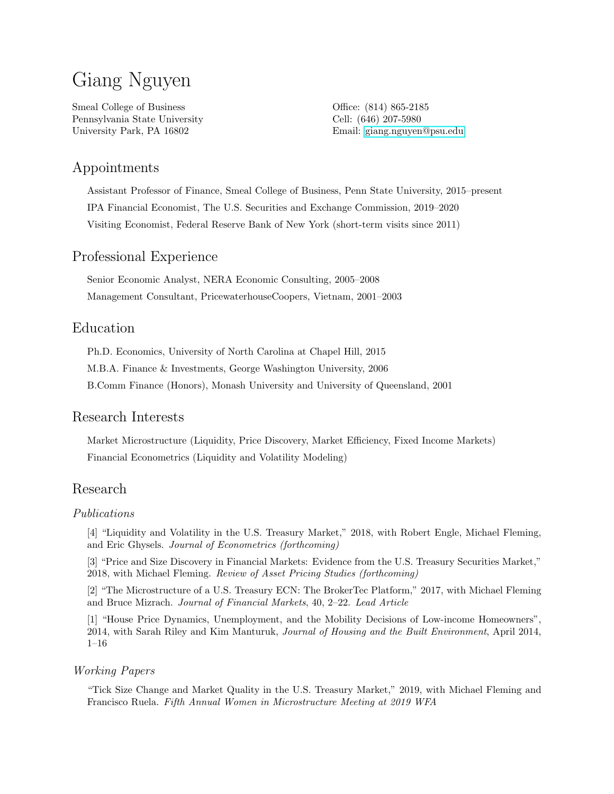# Giang Nguyen

Smeal College of Business Pennsylvania State University University Park, PA 16802

Office: (814) 865-2185 Cell: (646) 207-5980 Email: [giang.nguyen@psu.edu](mailto:gxn13@psu.edu)

# Appointments

Assistant Professor of Finance, Smeal College of Business, Penn State University, 2015–present IPA Financial Economist, The U.S. Securities and Exchange Commission, 2019–2020 Visiting Economist, Federal Reserve Bank of New York (short-term visits since 2011)

# Professional Experience

Senior Economic Analyst, NERA Economic Consulting, 2005–2008 Management Consultant, PricewaterhouseCoopers, Vietnam, 2001–2003

## Education

Ph.D. Economics, University of North Carolina at Chapel Hill, 2015 M.B.A. Finance & Investments, George Washington University, 2006

B.Comm Finance (Honors), Monash University and University of Queensland, 2001

## Research Interests

Market Microstructure (Liquidity, Price Discovery, Market Efficiency, Fixed Income Markets) Financial Econometrics (Liquidity and Volatility Modeling)

# Research

#### Publications

[4] "Liquidity and Volatility in the U.S. Treasury Market," 2018, with Robert Engle, Michael Fleming, and Eric Ghysels. Journal of Econometrics (forthcoming)

[3] "Price and Size Discovery in Financial Markets: Evidence from the U.S. Treasury Securities Market," 2018, with Michael Fleming. Review of Asset Pricing Studies (forthcoming)

[2] "The Microstructure of a U.S. Treasury ECN: The BrokerTec Platform," 2017, with Michael Fleming and Bruce Mizrach. Journal of Financial Markets, 40, 2–22. Lead Article

[1] "House Price Dynamics, Unemployment, and the Mobility Decisions of Low-income Homeowners", 2014, with Sarah Riley and Kim Manturuk, Journal of Housing and the Built Environment, April 2014, 1–16

#### Working Papers

"Tick Size Change and Market Quality in the U.S. Treasury Market," 2019, with Michael Fleming and Francisco Ruela. Fifth Annual Women in Microstructure Meeting at 2019 WFA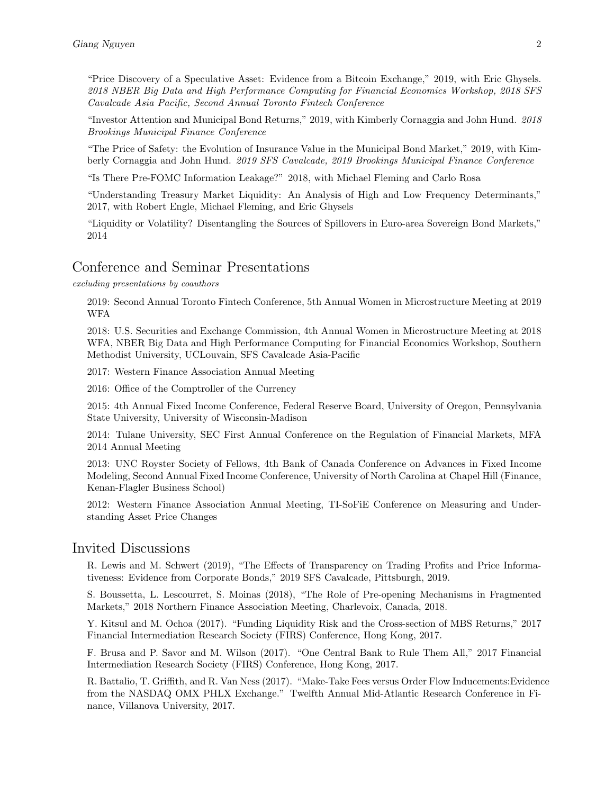"Price Discovery of a Speculative Asset: Evidence from a Bitcoin Exchange," 2019, with Eric Ghysels. 2018 NBER Big Data and High Performance Computing for Financial Economics Workshop, 2018 SFS Cavalcade Asia Pacific, Second Annual Toronto Fintech Conference

"Investor Attention and Municipal Bond Returns," 2019, with Kimberly Cornaggia and John Hund. 2018 Brookings Municipal Finance Conference

"The Price of Safety: the Evolution of Insurance Value in the Municipal Bond Market," 2019, with Kimberly Cornaggia and John Hund. 2019 SFS Cavalcade, 2019 Brookings Municipal Finance Conference

"Is There Pre-FOMC Information Leakage?" 2018, with Michael Fleming and Carlo Rosa

"Understanding Treasury Market Liquidity: An Analysis of High and Low Frequency Determinants," 2017, with Robert Engle, Michael Fleming, and Eric Ghysels

"Liquidity or Volatility? Disentangling the Sources of Spillovers in Euro-area Sovereign Bond Markets," 2014

#### Conference and Seminar Presentations

excluding presentations by coauthors

2019: Second Annual Toronto Fintech Conference, 5th Annual Women in Microstructure Meeting at 2019 WFA

2018: U.S. Securities and Exchange Commission, 4th Annual Women in Microstructure Meeting at 2018 WFA, NBER Big Data and High Performance Computing for Financial Economics Workshop, Southern Methodist University, UCLouvain, SFS Cavalcade Asia-Pacific

2017: Western Finance Association Annual Meeting

2016: Office of the Comptroller of the Currency

2015: 4th Annual Fixed Income Conference, Federal Reserve Board, University of Oregon, Pennsylvania State University, University of Wisconsin-Madison

2014: Tulane University, SEC First Annual Conference on the Regulation of Financial Markets, MFA 2014 Annual Meeting

2013: UNC Royster Society of Fellows, 4th Bank of Canada Conference on Advances in Fixed Income Modeling, Second Annual Fixed Income Conference, University of North Carolina at Chapel Hill (Finance, Kenan-Flagler Business School)

2012: Western Finance Association Annual Meeting, TI-SoFiE Conference on Measuring and Understanding Asset Price Changes

#### Invited Discussions

R. Lewis and M. Schwert (2019), "The Effects of Transparency on Trading Profits and Price Informativeness: Evidence from Corporate Bonds," 2019 SFS Cavalcade, Pittsburgh, 2019.

S. Boussetta, L. Lescourret, S. Moinas (2018), "The Role of Pre-opening Mechanisms in Fragmented Markets," 2018 Northern Finance Association Meeting, Charlevoix, Canada, 2018.

Y. Kitsul and M. Ochoa (2017). "Funding Liquidity Risk and the Cross-section of MBS Returns," 2017 Financial Intermediation Research Society (FIRS) Conference, Hong Kong, 2017.

F. Brusa and P. Savor and M. Wilson (2017). "One Central Bank to Rule Them All," 2017 Financial Intermediation Research Society (FIRS) Conference, Hong Kong, 2017.

R. Battalio, T. Griffith, and R. Van Ness (2017). "Make-Take Fees versus Order Flow Inducements:Evidence from the NASDAQ OMX PHLX Exchange." Twelfth Annual Mid-Atlantic Research Conference in Finance, Villanova University, 2017.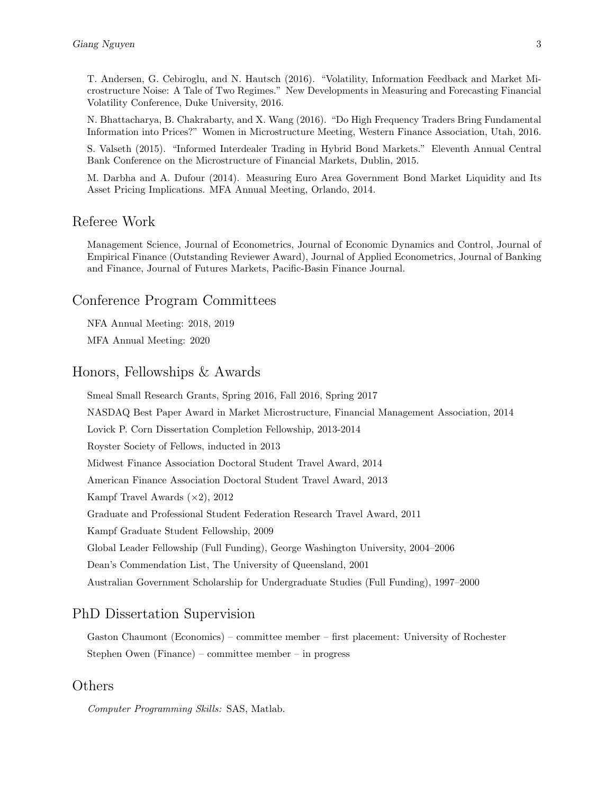T. Andersen, G. Cebiroglu, and N. Hautsch (2016). "Volatility, Information Feedback and Market Microstructure Noise: A Tale of Two Regimes." New Developments in Measuring and Forecasting Financial Volatility Conference, Duke University, 2016.

N. Bhattacharya, B. Chakrabarty, and X. Wang (2016). "Do High Frequency Traders Bring Fundamental Information into Prices?" Women in Microstructure Meeting, Western Finance Association, Utah, 2016.

S. Valseth (2015). "Informed Interdealer Trading in Hybrid Bond Markets." Eleventh Annual Central Bank Conference on the Microstructure of Financial Markets, Dublin, 2015.

M. Darbha and A. Dufour (2014). Measuring Euro Area Government Bond Market Liquidity and Its Asset Pricing Implications. MFA Annual Meeting, Orlando, 2014.

# Referee Work

Management Science, Journal of Econometrics, Journal of Economic Dynamics and Control, Journal of Empirical Finance (Outstanding Reviewer Award), Journal of Applied Econometrics, Journal of Banking and Finance, Journal of Futures Markets, Pacific-Basin Finance Journal.

#### Conference Program Committees

NFA Annual Meeting: 2018, 2019 MFA Annual Meeting: 2020

# Honors, Fellowships & Awards

Smeal Small Research Grants, Spring 2016, Fall 2016, Spring 2017 NASDAQ Best Paper Award in Market Microstructure, Financial Management Association, 2014 Lovick P. Corn Dissertation Completion Fellowship, 2013-2014 Royster Society of Fellows, inducted in 2013 Midwest Finance Association Doctoral Student Travel Award, 2014 American Finance Association Doctoral Student Travel Award, 2013 Kampf Travel Awards  $(\times 2)$ , 2012 Graduate and Professional Student Federation Research Travel Award, 2011 Kampf Graduate Student Fellowship, 2009 Global Leader Fellowship (Full Funding), George Washington University, 2004–2006 Dean's Commendation List, The University of Queensland, 2001 Australian Government Scholarship for Undergraduate Studies (Full Funding), 1997–2000

## PhD Dissertation Supervision

Gaston Chaumont (Economics) – committee member – first placement: University of Rochester Stephen Owen (Finance) – committee member – in progress

# Others

Computer Programming Skills: SAS, Matlab.